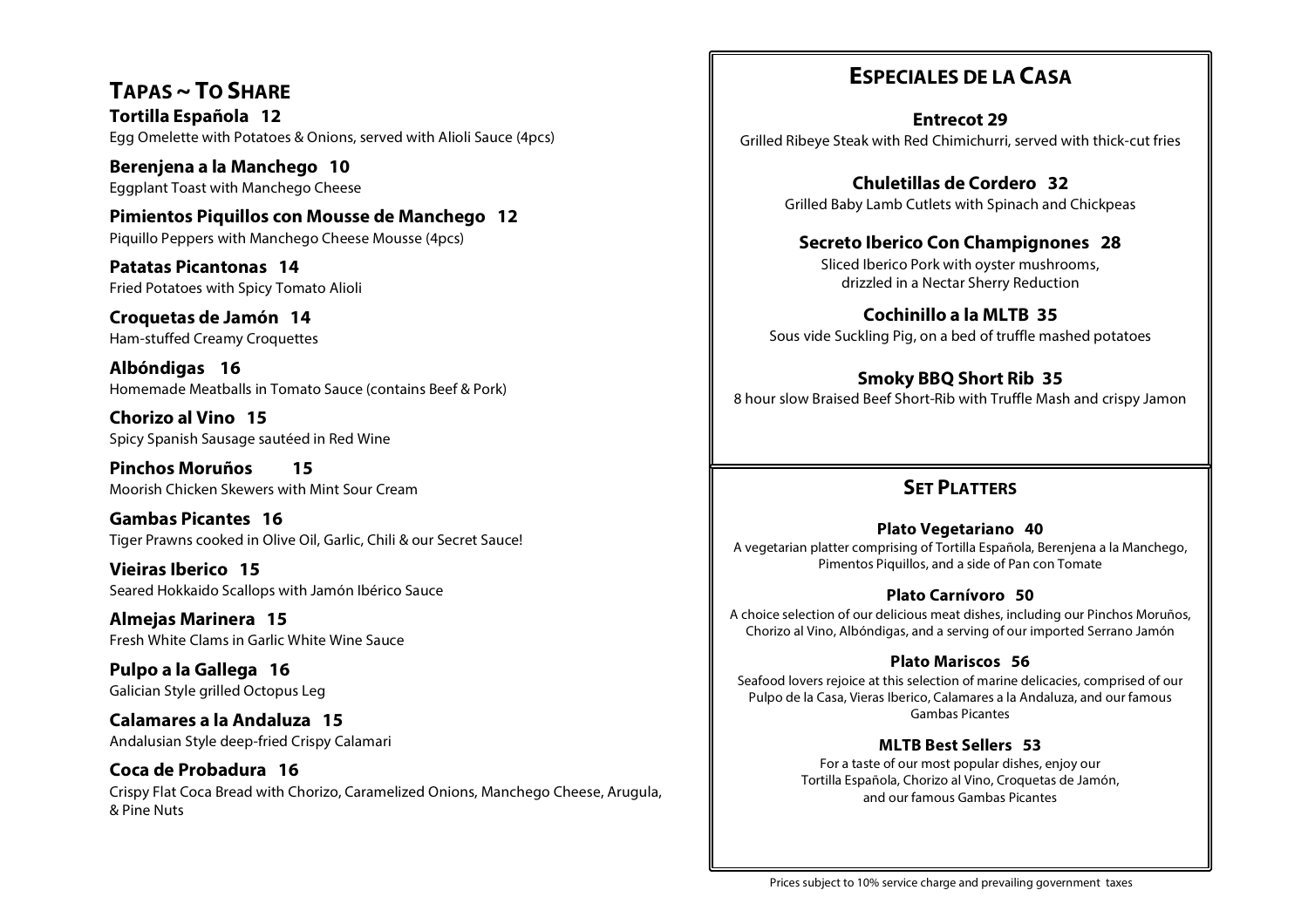**TAPAS ~ TO SHARE Tortilla Española 12** Egg Omelette with Potatoes & Onions, served with Alioli Sauce (4pcs)

**Berenjena a la Manchego 10** Eggplant Toast with Manchego Cheese

**Pimientos Piquillos con Mousse de Manchego 12** Piquillo Peppers with Manchego Cheese Mousse (4pcs)

**Patatas Picantonas 14** Fried Potatoes with Spicy Tomato Alioli

**Croquetas de Jamón 14** Ham-stuffed Creamy Croquettes

**Albóndigas 16** Homemade Meatballs in Tomato Sauce (contains Beef & Pork)

**Chorizo al Vino 15** Spicy Spanish Sausage sautéed in Red Wine

**Pinchos Moruños 15** Moorish Chicken Skewers with Mint Sour Cream

**Gambas Picantes 16** Tiger Prawns cooked in Olive Oil, Garlic, Chili & our Secret Sauce!

**Vieiras Iberico 15** Seared Hokkaido Scallops with Jamón Ibérico Sauce

**Almejas Marinera 15** Fresh White Clams in Garlic White Wine Sauce

**Pulpo a la Gallega 16** Galician Style grilled Octopus Leg

**Calamares a la Andaluza 15** Andalusian Style deep-fried Crispy Calamari

**Coca de Probadura 16** Crispy Flat Coca Bread with Chorizo, Caramelized Onions, Manchego Cheese, Arugula, & Pine Nuts

### **ESPECIALES DE LA CASA**

**Entrecot 29** Grilled Ribeye Steak with Red Chimichurri, served with thick-cut fries

> **Chuletillas de Cordero 32** Grilled Baby Lamb Cutlets with Spinach and Chickpeas

#### **Secreto Iberico Con Champignones 28**

Sliced Iberico Pork with oyster mushrooms, drizzled in a Nectar Sherry Reduction

**Cochinillo a la MLTB 35** Sous vide Suckling Pig, on a bed of truffle mashed potatoes

**Smoky BBQ Short Rib 35** 8 hour slow Braised Beef Short-Rib with Truffle Mash and crispy Jamon

### **SET PLATTERS**

#### **Plato Vegetariano 40**

A vegetarian platter comprising of Tortilla Española, Berenjena a la Manchego, Pimentos Piquillos, and a side of Pan con Tomate

#### **Plato Carnívoro 50**

A choice selection of our delicious meat dishes, including our Pinchos Moruños, Chorizo al Vino, Albóndigas, and a serving of our imported Serrano Jamón

#### **Plato Mariscos 56**

Seafood lovers rejoice at this selection of marine delicacies, comprised of our Pulpo de la Casa, Vieras Iberico, Calamares a la Andaluza, and our famous Gambas Picantes

#### **MLTB Best Sellers 53**

For a taste of our most popular dishes, enjoy our Tortilla Española, Chorizo al Vino, Croquetas de Jamón, and our famous Gambas Picantes